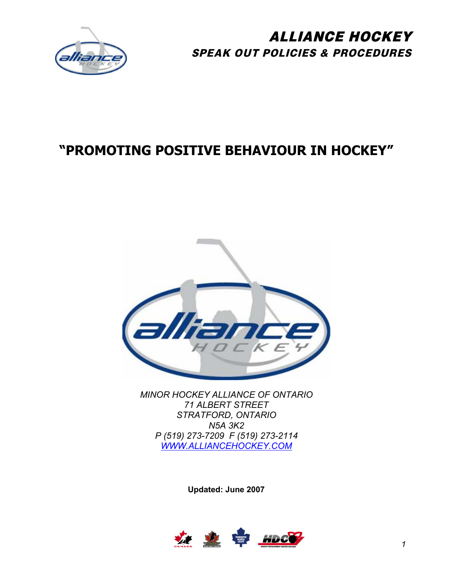

# **"PROMOTING POSITIVE BEHAVIOUR IN HOCKEY"**



*MINOR HOCKEY ALLIANCE OF ONTARIO 71 ALBERT STREET STRATFORD, ONTARIO N5A 3K2 P (519) 273-7209 F (519) 273-2114 [WWW.ALLIANCEHOCKEY.COM](http://www.alliancehockey.com/)*

**Updated: June 2007** 

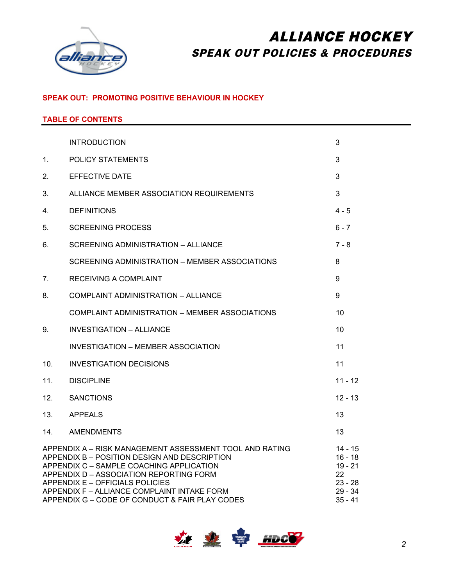

### **SPEAK OUT: PROMOTING POSITIVE BEHAVIOUR IN HOCKEY**

### **TABLE OF CONTENTS**

|                                  | <b>INTRODUCTION</b>                                                                                                                                                                                                                                                                                                                | 3                                                                            |
|----------------------------------|------------------------------------------------------------------------------------------------------------------------------------------------------------------------------------------------------------------------------------------------------------------------------------------------------------------------------------|------------------------------------------------------------------------------|
| $1_{-}$                          | <b>POLICY STATEMENTS</b>                                                                                                                                                                                                                                                                                                           | 3                                                                            |
| 2.                               | <b>EFFECTIVE DATE</b>                                                                                                                                                                                                                                                                                                              | 3                                                                            |
| 3.                               | ALLIANCE MEMBER ASSOCIATION REQUIREMENTS                                                                                                                                                                                                                                                                                           | 3                                                                            |
| 4.                               | <b>DEFINITIONS</b>                                                                                                                                                                                                                                                                                                                 | $4 - 5$                                                                      |
| 5.                               | <b>SCREENING PROCESS</b>                                                                                                                                                                                                                                                                                                           | $6 - 7$                                                                      |
| 6.                               | SCREENING ADMINISTRATION - ALLIANCE                                                                                                                                                                                                                                                                                                | $7 - 8$                                                                      |
|                                  | SCREENING ADMINISTRATION – MEMBER ASSOCIATIONS                                                                                                                                                                                                                                                                                     | 8                                                                            |
| $7_{\scriptscriptstyle{\ddots}}$ | RECEIVING A COMPLAINT                                                                                                                                                                                                                                                                                                              | 9                                                                            |
| 8.                               | COMPLAINT ADMINISTRATION - ALLIANCE                                                                                                                                                                                                                                                                                                | 9                                                                            |
|                                  | COMPLAINT ADMINISTRATION – MEMBER ASSOCIATIONS                                                                                                                                                                                                                                                                                     | 10                                                                           |
| 9.                               | <b>INVESTIGATION - ALLIANCE</b>                                                                                                                                                                                                                                                                                                    | 10                                                                           |
|                                  | INVESTIGATION - MEMBER ASSOCIATION                                                                                                                                                                                                                                                                                                 | 11                                                                           |
| 10.                              | <b>INVESTIGATION DECISIONS</b>                                                                                                                                                                                                                                                                                                     | 11                                                                           |
| 11.                              | <b>DISCIPLINE</b>                                                                                                                                                                                                                                                                                                                  | $11 - 12$                                                                    |
| 12.                              | <b>SANCTIONS</b>                                                                                                                                                                                                                                                                                                                   | $12 - 13$                                                                    |
| 13.                              | <b>APPEALS</b>                                                                                                                                                                                                                                                                                                                     | 13                                                                           |
| 14.                              | <b>AMENDMENTS</b>                                                                                                                                                                                                                                                                                                                  | 13                                                                           |
|                                  | APPENDIX A - RISK MANAGEMENT ASSESSMENT TOOL AND RATING<br>APPENDIX B - POSITION DESIGN AND DESCRIPTION<br>APPENDIX C - SAMPLE COACHING APPLICATION<br>APPENDIX D - ASSOCIATION REPORTING FORM<br>APPENDIX E - OFFICIALS POLICIES<br>APPENDIX F - ALLIANCE COMPLAINT INTAKE FORM<br>APPENDIX G - CODE OF CONDUCT & FAIR PLAY CODES | 14 - 15<br>$16 - 18$<br>$19 - 21$<br>22<br>$23 - 28$<br>29 - 34<br>$35 - 41$ |

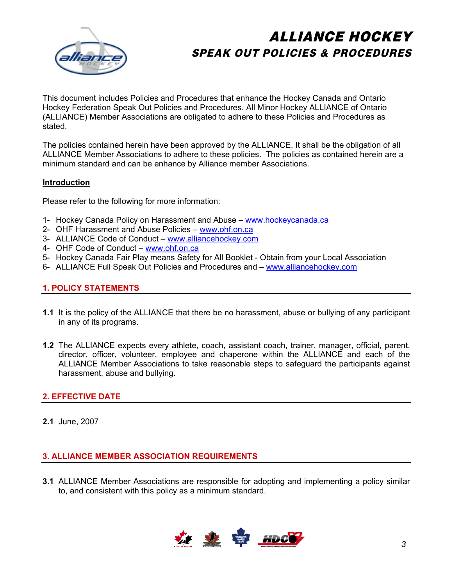

This document includes Policies and Procedures that enhance the Hockey Canada and Ontario Hockey Federation Speak Out Policies and Procedures. All Minor Hockey ALLIANCE of Ontario (ALLIANCE) Member Associations are obligated to adhere to these Policies and Procedures as stated.

The policies contained herein have been approved by the ALLIANCE. It shall be the obligation of all ALLIANCE Member Associations to adhere to these policies. The policies as contained herein are a minimum standard and can be enhance by Alliance member Associations.

### **Introduction**

Please refer to the following for more information:

- 1- Hockey Canada Policy on Harassment and Abuse [www.hockeycanada.ca](http://www.hockeycanada.ca/)
- 2- OHF Harassment and Abuse Policies – [www.ohf.on.ca](http://www.ohf.on.ca/)
- 3- ALLIANCE Code of Conduct www.alliancehockey.com
- 4- OHF Code of Conduct [www.ohf.on.ca](http://www.ohf.on.ca/)
- 5- Hockey Canada Fair Play means Safety for All Booklet Obtain from your Local Association
- 6- ALLIANCE Full Speak Out Policies and Procedures and www.alliancehockey.com

### **1. POLICY STATEMENTS**

- **1.1** It is the policy of the ALLIANCE that there be no harassment, abuse or bullying of any participant in any of its programs.
- **1.2** The ALLIANCE expects every athlete, coach, assistant coach, trainer, manager, official, parent, director, officer, volunteer, employee and chaperone within the ALLIANCE and each of the ALLIANCE Member Associations to take reasonable steps to safeguard the participants against harassment, abuse and bullying.

### **2. EFFECTIVE DATE**

**2.1** June, 2007

### **3. ALLIANCE MEMBER ASSOCIATION REQUIREMENTS**

**3.1** ALLIANCE Member Associations are responsible for adopting and implementing a policy similar to, and consistent with this policy as a minimum standard.

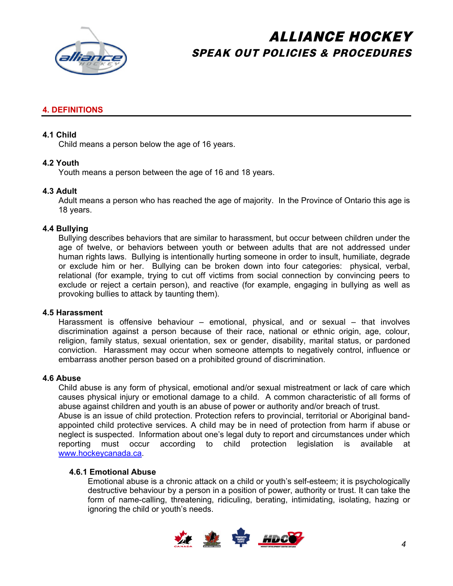

### **4. DEFINITIONS**

### **4.1 Child**

Child means a person below the age of 16 years.

### **4.2 Youth**

Youth means a person between the age of 16 and 18 years.

### **4.3 Adult**

Adult means a person who has reached the age of majority. In the Province of Ontario this age is 18 years.

#### **4.4 Bullying**

Bullying describes behaviors that are similar to harassment, but occur between children under the age of twelve, or behaviors between youth or between adults that are not addressed under human rights laws. Bullying is intentionally hurting someone in order to insult, humiliate, degrade or exclude him or her. Bullying can be broken down into four categories: physical, verbal, relational (for example, trying to cut off victims from social connection by convincing peers to exclude or reject a certain person), and reactive (for example, engaging in bullying as well as provoking bullies to attack by taunting them).

#### **4.5 Harassment**

Harassment is offensive behaviour – emotional, physical, and or sexual – that involves discrimination against a person because of their race, national or ethnic origin, age, colour, religion, family status, sexual orientation, sex or gender, disability, marital status, or pardoned conviction. Harassment may occur when someone attempts to negatively control, influence or embarrass another person based on a prohibited ground of discrimination.

### **4.6 Abuse**

Child abuse is any form of physical, emotional and/or sexual mistreatment or lack of care which causes physical injury or emotional damage to a child. A common characteristic of all forms of abuse against children and youth is an abuse of power or authority and/or breach of trust. Abuse is an issue of child protection. Protection refers to provincial, territorial or Aboriginal bandappointed child protective services. A child may be in need of protection from harm if abuse or neglect is suspected. Information about one's legal duty to report and circumstances under which reporting must occur according to child protection legislation is available at [www.hockeycanada.ca.](http://www.hockeycanada.ca/)

### **4.6.1 Emotional Abuse**

Emotional abuse is a chronic attack on a child or youth's self-esteem; it is psychologically destructive behaviour by a person in a position of power, authority or trust. It can take the form of name-calling, threatening, ridiculing, berating, intimidating, isolating, hazing or ignoring the child or youth's needs.

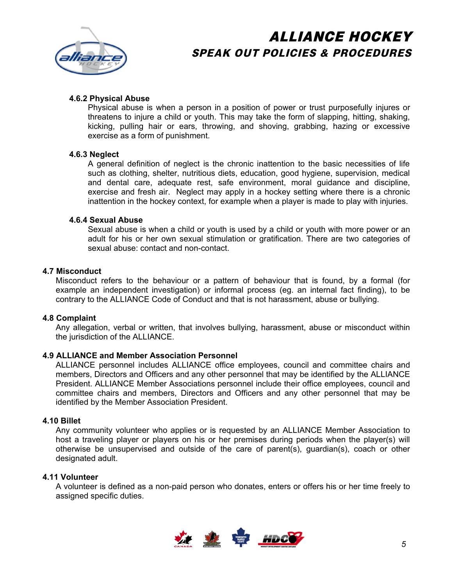

### **4.6.2 Physical Abuse**

Physical abuse is when a person in a position of power or trust purposefully injures or threatens to injure a child or youth. This may take the form of slapping, hitting, shaking, kicking, pulling hair or ears, throwing, and shoving, grabbing, hazing or excessive exercise as a form of punishment.

#### **4.6.3 Neglect**

A general definition of neglect is the chronic inattention to the basic necessities of life such as clothing, shelter, nutritious diets, education, good hygiene, supervision, medical and dental care, adequate rest, safe environment, moral guidance and discipline, exercise and fresh air. Neglect may apply in a hockey setting where there is a chronic inattention in the hockey context, for example when a player is made to play with injuries.

#### **4.6.4 Sexual Abuse**

Sexual abuse is when a child or youth is used by a child or youth with more power or an adult for his or her own sexual stimulation or gratification. There are two categories of sexual abuse: contact and non-contact.

### **4.7 Misconduct**

Misconduct refers to the behaviour or a pattern of behaviour that is found, by a formal (for example an independent investigation) or informal process (eg. an internal fact finding), to be contrary to the ALLIANCE Code of Conduct and that is not harassment, abuse or bullying.

### **4.8 Complaint**

Any allegation, verbal or written, that involves bullying, harassment, abuse or misconduct within the jurisdiction of the ALLIANCE.

### **4.9 ALLIANCE and Member Association Personnel**

ALLIANCE personnel includes ALLIANCE office employees, council and committee chairs and members, Directors and Officers and any other personnel that may be identified by the ALLIANCE President. ALLIANCE Member Associations personnel include their office employees, council and committee chairs and members, Directors and Officers and any other personnel that may be identified by the Member Association President.

#### **4.10 Billet**

Any community volunteer who applies or is requested by an ALLIANCE Member Association to host a traveling player or players on his or her premises during periods when the player(s) will otherwise be unsupervised and outside of the care of parent(s), guardian(s), coach or other designated adult.

#### **4.11 Volunteer**

A volunteer is defined as a non-paid person who donates, enters or offers his or her time freely to assigned specific duties.

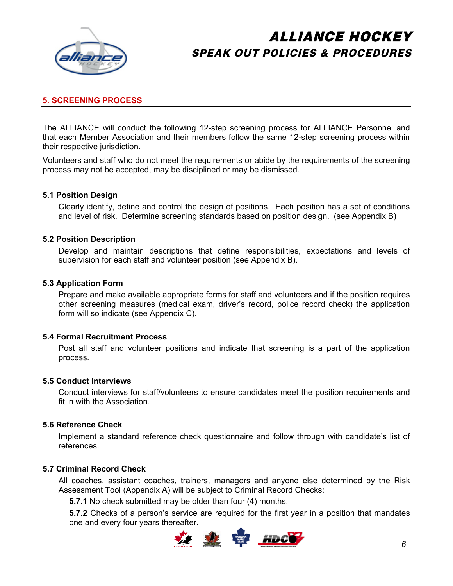

### **5. SCREENING PROCESS**

The ALLIANCE will conduct the following 12-step screening process for ALLIANCE Personnel and that each Member Association and their members follow the same 12-step screening process within their respective jurisdiction.

Volunteers and staff who do not meet the requirements or abide by the requirements of the screening process may not be accepted, may be disciplined or may be dismissed.

#### **5.1 Position Design**

Clearly identify, define and control the design of positions. Each position has a set of conditions and level of risk. Determine screening standards based on position design. (see Appendix B)

#### **5.2 Position Description**

Develop and maintain descriptions that define responsibilities, expectations and levels of supervision for each staff and volunteer position (see Appendix B).

#### **5.3 Application Form**

Prepare and make available appropriate forms for staff and volunteers and if the position requires other screening measures (medical exam, driver's record, police record check) the application form will so indicate (see Appendix C).

#### **5.4 Formal Recruitment Process**

Post all staff and volunteer positions and indicate that screening is a part of the application process.

#### **5.5 Conduct Interviews**

Conduct interviews for staff/volunteers to ensure candidates meet the position requirements and fit in with the Association.

#### **5.6 Reference Check**

Implement a standard reference check questionnaire and follow through with candidate's list of references.

#### **5.7 Criminal Record Check**

All coaches, assistant coaches, trainers, managers and anyone else determined by the Risk Assessment Tool (Appendix A) will be subject to Criminal Record Checks:

**5.7.1** No check submitted may be older than four (4) months.

**5.7.2** Checks of a person's service are required for the first year in a position that mandates one and every four years thereafter.

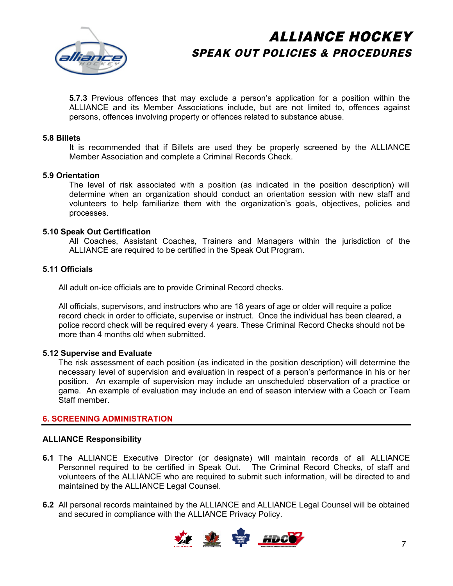

**5.7.3** Previous offences that may exclude a person's application for a position within the ALLIANCE and its Member Associations include, but are not limited to, offences against persons, offences involving property or offences related to substance abuse.

#### **5.8 Billets**

It is recommended that if Billets are used they be properly screened by the ALLIANCE Member Association and complete a Criminal Records Check.

#### **5.9 Orientation**

The level of risk associated with a position (as indicated in the position description) will determine when an organization should conduct an orientation session with new staff and volunteers to help familiarize them with the organization's goals, objectives, policies and processes.

#### **5.10 Speak Out Certification**

All Coaches, Assistant Coaches, Trainers and Managers within the jurisdiction of the ALLIANCE are required to be certified in the Speak Out Program.

### **5.11 Officials**

All adult on-ice officials are to provide Criminal Record checks.

All officials, supervisors, and instructors who are 18 years of age or older will require a police record check in order to officiate, supervise or instruct. Once the individual has been cleared, a police record check will be required every 4 years. These Criminal Record Checks should not be more than 4 months old when submitted.

#### **5.12 Supervise and Evaluate**

The risk assessment of each position (as indicated in the position description) will determine the necessary level of supervision and evaluation in respect of a person's performance in his or her position. An example of supervision may include an unscheduled observation of a practice or game. An example of evaluation may include an end of season interview with a Coach or Team Staff member.

#### **6. SCREENING ADMINISTRATION**

#### **ALLIANCE Responsibility**

- **6.1** The ALLIANCE Executive Director (or designate) will maintain records of all ALLIANCE Personnel required to be certified in Speak Out. The Criminal Record Checks, of staff and volunteers of the ALLIANCE who are required to submit such information, will be directed to and maintained by the ALLIANCE Legal Counsel.
- **6.2** All personal records maintained by the ALLIANCE and ALLIANCE Legal Counsel will be obtained and secured in compliance with the ALLIANCE Privacy Policy.

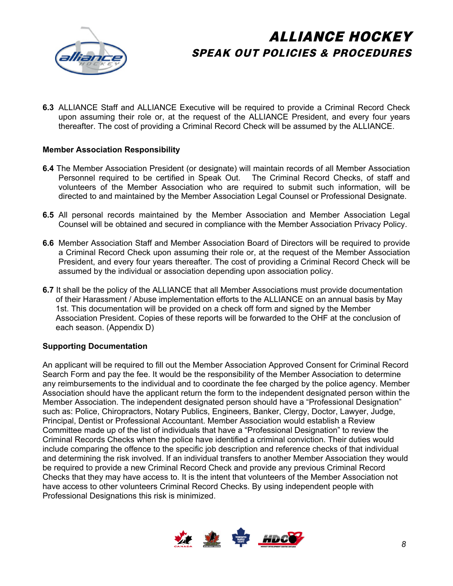

**6.3** ALLIANCE Staff and ALLIANCE Executive will be required to provide a Criminal Record Check upon assuming their role or, at the request of the ALLIANCE President, and every four years thereafter. The cost of providing a Criminal Record Check will be assumed by the ALLIANCE.

### **Member Association Responsibility**

- **6.4** The Member Association President (or designate) will maintain records of all Member Association Personnel required to be certified in Speak Out. The Criminal Record Checks, of staff and volunteers of the Member Association who are required to submit such information, will be directed to and maintained by the Member Association Legal Counsel or Professional Designate.
- **6.5** All personal records maintained by the Member Association and Member Association Legal Counsel will be obtained and secured in compliance with the Member Association Privacy Policy.
- **6.6** Member Association Staff and Member Association Board of Directors will be required to provide a Criminal Record Check upon assuming their role or, at the request of the Member Association President, and every four years thereafter. The cost of providing a Criminal Record Check will be assumed by the individual or association depending upon association policy.
- **6.7** It shall be the policy of the ALLIANCE that all Member Associations must provide documentation of their Harassment / Abuse implementation efforts to the ALLIANCE on an annual basis by May 1st. This documentation will be provided on a check off form and signed by the Member Association President. Copies of these reports will be forwarded to the OHF at the conclusion of each season. (Appendix D)

### **Supporting Documentation**

An applicant will be required to fill out the Member Association Approved Consent for Criminal Record Search Form and pay the fee. It would be the responsibility of the Member Association to determine any reimbursements to the individual and to coordinate the fee charged by the police agency. Member Association should have the applicant return the form to the independent designated person within the Member Association. The independent designated person should have a "Professional Designation" such as: Police, Chiropractors, Notary Publics, Engineers, Banker, Clergy, Doctor, Lawyer, Judge, Principal, Dentist or Professional Accountant. Member Association would establish a Review Committee made up of the list of individuals that have a "Professional Designation" to review the Criminal Records Checks when the police have identified a criminal conviction. Their duties would include comparing the offence to the specific job description and reference checks of that individual and determining the risk involved. If an individual transfers to another Member Association they would be required to provide a new Criminal Record Check and provide any previous Criminal Record Checks that they may have access to. It is the intent that volunteers of the Member Association not have access to other volunteers Criminal Record Checks. By using independent people with Professional Designations this risk is minimized.

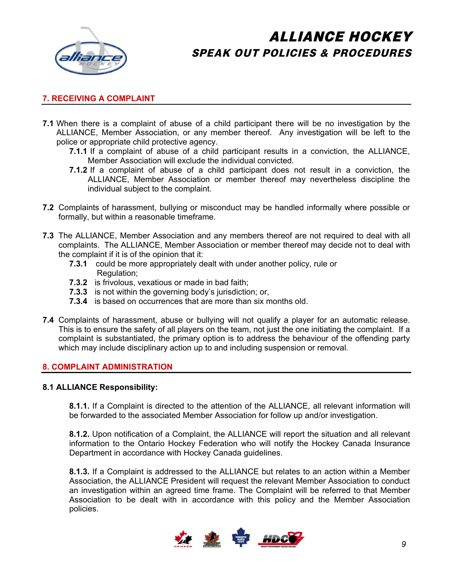

### **7. RECEIVING A COMPLAINT**

- **7.1** When there is a complaint of abuse of a child participant there will be no investigation by the ALLIANCE, Member Association, or any member thereof. Any investigation will be left to the police or appropriate child protective agency.
	- **7.1.1** If a complaint of abuse of a child participant results in a conviction, the ALLIANCE, Member Association will exclude the individual convicted.
	- **7.1.2** If a complaint of abuse of a child participant does not result in a conviction, the ALLIANCE, Member Association or member thereof may nevertheless discipline the individual subject to the complaint.
- **7.2** Complaints of harassment, bullying or misconduct may be handled informally where possible or formally, but within a reasonable timeframe.
- **7.3** The ALLIANCE, Member Association and any members thereof are not required to deal with all complaints. The ALLIANCE, Member Association or member thereof may decide not to deal with the complaint if it is of the opinion that it:
	- **7.3.1** could be more appropriately dealt with under another policy, rule or Regulation;
	- **7.3.2** is frivolous, vexatious or made in bad faith;
	- **7.3.3** is not within the governing body's jurisdiction; or,
	- **7.3.4** is based on occurrences that are more than six months old.
- **7.4** Complaints of harassment, abuse or bullying will not qualify a player for an automatic release. This is to ensure the safety of all players on the team, not just the one initiating the complaint. If a complaint is substantiated, the primary option is to address the behaviour of the offending party which may include disciplinary action up to and including suspension or removal.

### **8. COMPLAINT ADMINISTRATION**

#### **8.1 ALLIANCE Responsibility:**

**8.1.1.** If a Complaint is directed to the attention of the ALLIANCE, all relevant information will be forwarded to the associated Member Association for follow up and/or investigation.

**8.1.2.** Upon notification of a Complaint, the ALLIANCE will report the situation and all relevant information to the Ontario Hockey Federation who will notify the Hockey Canada Insurance Department in accordance with Hockey Canada guidelines.

**8.1.3.** If a Complaint is addressed to the ALLIANCE but relates to an action within a Member Association, the ALLIANCE President will request the relevant Member Association to conduct an investigation within an agreed time frame. The Complaint will be referred to that Member Association to be dealt with in accordance with this policy and the Member Association policies.

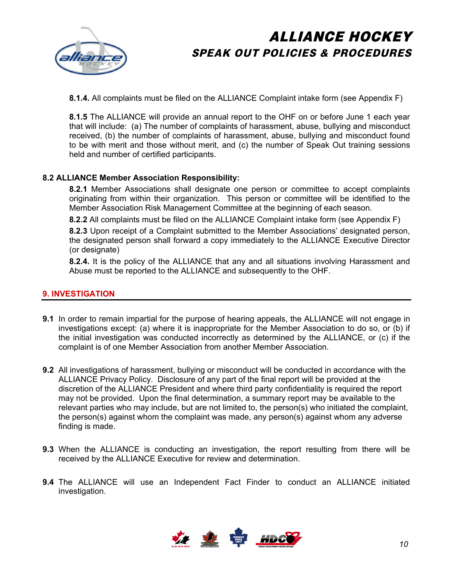

**8.1.4.** All complaints must be filed on the ALLIANCE Complaint intake form (see Appendix F)

**8.1.5** The ALLIANCE will provide an annual report to the OHF on or before June 1 each year that will include: (a) The number of complaints of harassment, abuse, bullying and misconduct received, (b) the number of complaints of harassment, abuse, bullying and misconduct found to be with merit and those without merit, and (c) the number of Speak Out training sessions held and number of certified participants.

### **8.2 ALLIANCE Member Association Responsibility:**

**8.2.1** Member Associations shall designate one person or committee to accept complaints originating from within their organization. This person or committee will be identified to the Member Association Risk Management Committee at the beginning of each season.

**8.2.2** All complaints must be filed on the ALLIANCE Complaint intake form (see Appendix F)

**8.2.3** Upon receipt of a Complaint submitted to the Member Associations' designated person, the designated person shall forward a copy immediately to the ALLIANCE Executive Director (or designate)

**8.2.4.** It is the policy of the ALLIANCE that any and all situations involving Harassment and Abuse must be reported to the ALLIANCE and subsequently to the OHF.

### **9. INVESTIGATION**

- **9.1** In order to remain impartial for the purpose of hearing appeals, the ALLIANCE will not engage in investigations except: (a) where it is inappropriate for the Member Association to do so, or (b) if the initial investigation was conducted incorrectly as determined by the ALLIANCE, or (c) if the complaint is of one Member Association from another Member Association.
- **9.2** All investigations of harassment, bullying or misconduct will be conducted in accordance with the ALLIANCE Privacy Policy. Disclosure of any part of the final report will be provided at the discretion of the ALLIANCE President and where third party confidentiality is required the report may not be provided. Upon the final determination, a summary report may be available to the relevant parties who may include, but are not limited to, the person(s) who initiated the complaint, the person(s) against whom the complaint was made, any person(s) against whom any adverse finding is made.
- **9.3** When the ALLIANCE is conducting an investigation, the report resulting from there will be received by the ALLIANCE Executive for review and determination.
- **9.4** The ALLIANCE will use an Independent Fact Finder to conduct an ALLIANCE initiated investigation.

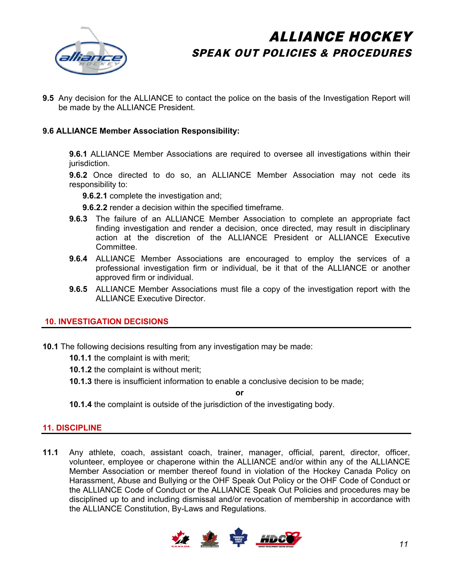

**9.5** Any decision for the ALLIANCE to contact the police on the basis of the Investigation Report will be made by the ALLIANCE President.

### **9.6 ALLIANCE Member Association Responsibility:**

**9.6.1** ALLIANCE Member Associations are required to oversee all investigations within their jurisdiction.

**9.6.2** Once directed to do so, an ALLIANCE Member Association may not cede its responsibility to:

**9.6.2.1** complete the investigation and;

**9.6.2.2** render a decision within the specified timeframe.

- **9.6.3** The failure of an ALLIANCE Member Association to complete an appropriate fact finding investigation and render a decision, once directed, may result in disciplinary action at the discretion of the ALLIANCE President or ALLIANCE Executive Committee.
- **9.6.4** ALLIANCE Member Associations are encouraged to employ the services of a professional investigation firm or individual, be it that of the ALLIANCE or another approved firm or individual.
- **9.6.5** ALLIANCE Member Associations must file a copy of the investigation report with the ALLIANCE Executive Director.

### **10. INVESTIGATION DECISIONS**

- **10.1** The following decisions resulting from any investigation may be made:
	- **10.1.1** the complaint is with merit;
	- **10.1.2** the complaint is without merit;
	- **10.1.3** there is insufficient information to enable a conclusive decision to be made;

**or**

**10.1.4** the complaint is outside of the jurisdiction of the investigating body.

### **11. DISCIPLINE**

**11.1** Any athlete, coach, assistant coach, trainer, manager, official, parent, director, officer, volunteer, employee or chaperone within the ALLIANCE and/or within any of the ALLIANCE Member Association or member thereof found in violation of the Hockey Canada Policy on Harassment, Abuse and Bullying or the OHF Speak Out Policy or the OHF Code of Conduct or the ALLIANCE Code of Conduct or the ALLIANCE Speak Out Policies and procedures may be disciplined up to and including dismissal and/or revocation of membership in accordance with the ALLIANCE Constitution, By-Laws and Regulations.

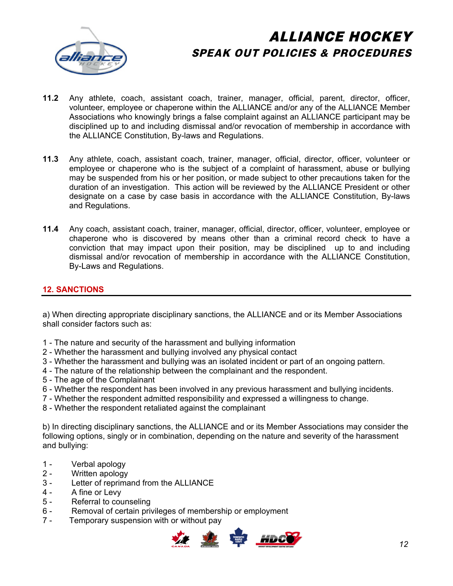

- **11.2** Any athlete, coach, assistant coach, trainer, manager, official, parent, director, officer, volunteer, employee or chaperone within the ALLIANCE and/or any of the ALLIANCE Member Associations who knowingly brings a false complaint against an ALLIANCE participant may be disciplined up to and including dismissal and/or revocation of membership in accordance with the ALLIANCE Constitution, By-laws and Regulations.
- **11.3** Any athlete, coach, assistant coach, trainer, manager, official, director, officer, volunteer or employee or chaperone who is the subject of a complaint of harassment, abuse or bullying may be suspended from his or her position, or made subject to other precautions taken for the duration of an investigation. This action will be reviewed by the ALLIANCE President or other designate on a case by case basis in accordance with the ALLIANCE Constitution, By-laws and Regulations.
- **11.4** Any coach, assistant coach, trainer, manager, official, director, officer, volunteer, employee or chaperone who is discovered by means other than a criminal record check to have a conviction that may impact upon their position, may be disciplined up to and including dismissal and/or revocation of membership in accordance with the ALLIANCE Constitution, By-Laws and Regulations.

### **12. SANCTIONS**

a) When directing appropriate disciplinary sanctions, the ALLIANCE and or its Member Associations shall consider factors such as:

- 1 The nature and security of the harassment and bullying information
- 2 Whether the harassment and bullying involved any physical contact
- 3 Whether the harassment and bullying was an isolated incident or part of an ongoing pattern.
- 4 The nature of the relationship between the complainant and the respondent.
- 5 The age of the Complainant
- 6 Whether the respondent has been involved in any previous harassment and bullying incidents.
- 7 Whether the respondent admitted responsibility and expressed a willingness to change.
- 8 Whether the respondent retaliated against the complainant

b) In directing disciplinary sanctions, the ALLIANCE and or its Member Associations may consider the following options, singly or in combination, depending on the nature and severity of the harassment and bullying:

- 1 Verbal apology
- 2 Written apology
- 3 Letter of reprimand from the ALLIANCE
- 4 A fine or Levy
- 5 Referral to counseling
- 6 Removal of certain privileges of membership or employment
- 7 Temporary suspension with or without pay

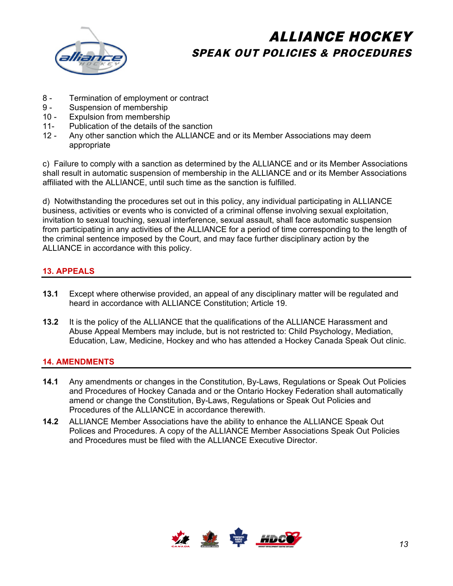

- 8 Termination of employment or contract
- 9 Suspension of membership
- 10 Expulsion from membership
- 11- Publication of the details of the sanction
- 12 Any other sanction which the ALLIANCE and or its Member Associations may deem appropriate

c) Failure to comply with a sanction as determined by the ALLIANCE and or its Member Associations shall result in automatic suspension of membership in the ALLIANCE and or its Member Associations affiliated with the ALLIANCE, until such time as the sanction is fulfilled.

d) Notwithstanding the procedures set out in this policy, any individual participating in ALLIANCE business, activities or events who is convicted of a criminal offense involving sexual exploitation, invitation to sexual touching, sexual interference, sexual assault, shall face automatic suspension from participating in any activities of the ALLIANCE for a period of time corresponding to the length of the criminal sentence imposed by the Court, and may face further disciplinary action by the ALLIANCE in accordance with this policy.

### **13. APPEALS**

- **13.1** Except where otherwise provided, an appeal of any disciplinary matter will be regulated and heard in accordance with ALLIANCE Constitution; Article 19.
- **13.2** It is the policy of the ALLIANCE that the qualifications of the ALLIANCE Harassment and Abuse Appeal Members may include, but is not restricted to: Child Psychology, Mediation, Education, Law, Medicine, Hockey and who has attended a Hockey Canada Speak Out clinic.

### **14. AMENDMENTS**

- **14.1** Any amendments or changes in the Constitution, By-Laws, Regulations or Speak Out Policies and Procedures of Hockey Canada and or the Ontario Hockey Federation shall automatically amend or change the Constitution, By-Laws, Regulations or Speak Out Policies and Procedures of the ALLIANCE in accordance therewith.
- **14.2** ALLIANCE Member Associations have the ability to enhance the ALLIANCE Speak Out Polices and Procedures. A copy of the ALLIANCE Member Associations Speak Out Policies and Procedures must be filed with the ALLIANCE Executive Director.

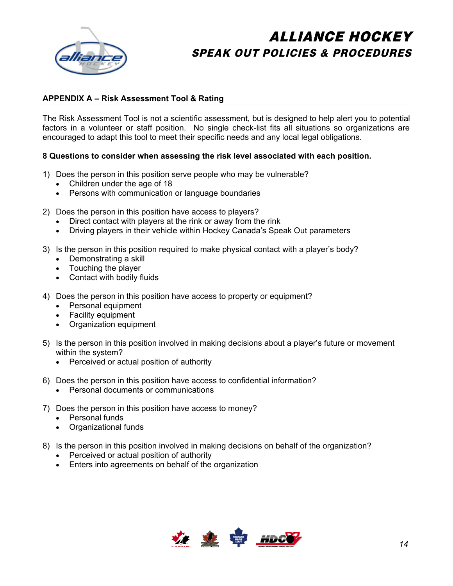

### **APPENDIX A – Risk Assessment Tool & Rating**

The Risk Assessment Tool is not a scientific assessment, but is designed to help alert you to potential factors in a volunteer or staff position. No single check-list fits all situations so organizations are encouraged to adapt this tool to meet their specific needs and any local legal obligations.

### **8 Questions to consider when assessing the risk level associated with each position.**

- 1) Does the person in this position serve people who may be vulnerable?
	- Children under the age of 18
	- Persons with communication or language boundaries
- 2) Does the person in this position have access to players?
	- Direct contact with players at the rink or away from the rink
	- Driving players in their vehicle within Hockey Canada's Speak Out parameters
- 3) Is the person in this position required to make physical contact with a player's body?
	- Demonstrating a skill
	- Touching the player
	- Contact with bodily fluids
- 4) Does the person in this position have access to property or equipment?
	- Personal equipment
	- Facility equipment
	- Organization equipment
- 5) Is the person in this position involved in making decisions about a player's future or movement within the system?
	- Perceived or actual position of authority
- 6) Does the person in this position have access to confidential information?
	- Personal documents or communications
- 7) Does the person in this position have access to money?
	- Personal funds
	- Organizational funds
- 8) Is the person in this position involved in making decisions on behalf of the organization?
	- Perceived or actual position of authority
	- . Enters into agreements on behalf of the organization

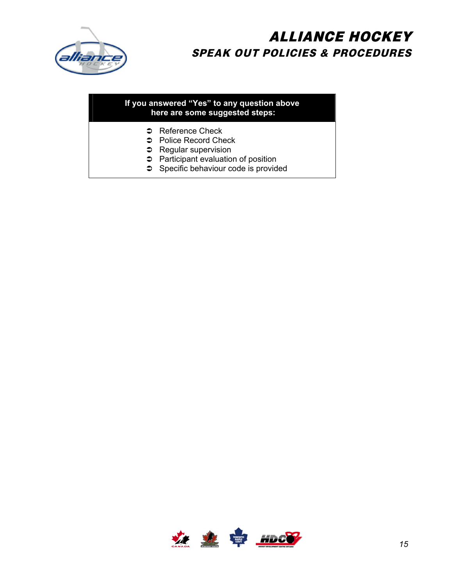

### **If you answered "Yes" to any question above here are some suggested steps:**

- **C** Reference Check
- **C** Police Record Check
- $\supset$  Regular supervision
- **C** Participant evaluation of position
- Specific behaviour code is provided

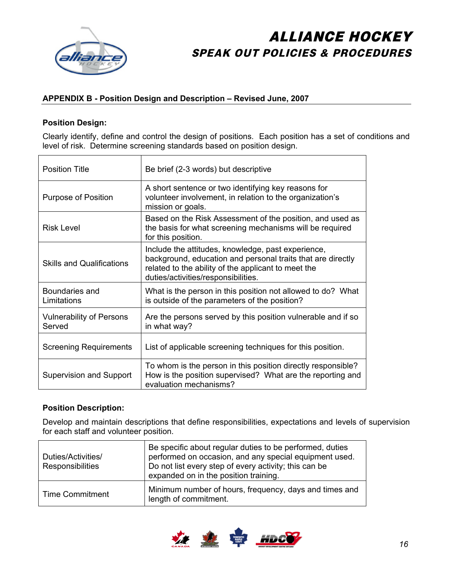

### **APPENDIX B - Position Design and Description – Revised June, 2007**

### **Position Design:**

Clearly identify, define and control the design of positions. Each position has a set of conditions and level of risk. Determine screening standards based on position design.

| <b>Position Title</b>                     | Be brief (2-3 words) but descriptive                                                                                                                                                                            |
|-------------------------------------------|-----------------------------------------------------------------------------------------------------------------------------------------------------------------------------------------------------------------|
| Purpose of Position                       | A short sentence or two identifying key reasons for<br>volunteer involvement, in relation to the organization's<br>mission or goals.                                                                            |
| <b>Risk Level</b>                         | Based on the Risk Assessment of the position, and used as<br>the basis for what screening mechanisms will be required<br>for this position.                                                                     |
| <b>Skills and Qualifications</b>          | Include the attitudes, knowledge, past experience,<br>background, education and personal traits that are directly<br>related to the ability of the applicant to meet the<br>duties/activities/responsibilities. |
| Boundaries and<br>Limitations             | What is the person in this position not allowed to do? What<br>is outside of the parameters of the position?                                                                                                    |
| <b>Vulnerability of Persons</b><br>Served | Are the persons served by this position vulnerable and if so<br>in what way?                                                                                                                                    |
| <b>Screening Requirements</b>             | List of applicable screening techniques for this position.                                                                                                                                                      |
| Supervision and Support                   | To whom is the person in this position directly responsible?<br>How is the position supervised? What are the reporting and<br>evaluation mechanisms?                                                            |

### **Position Description:**

Develop and maintain descriptions that define responsibilities, expectations and levels of supervision for each staff and volunteer position.

| Duties/Activities/<br><b>Responsibilities</b> | Be specific about regular duties to be performed, duties<br>performed on occasion, and any special equipment used.<br>Do not list every step of every activity; this can be<br>expanded on in the position training. |
|-----------------------------------------------|----------------------------------------------------------------------------------------------------------------------------------------------------------------------------------------------------------------------|
| <b>Time Commitment</b>                        | Minimum number of hours, frequency, days and times and<br>length of commitment.                                                                                                                                      |

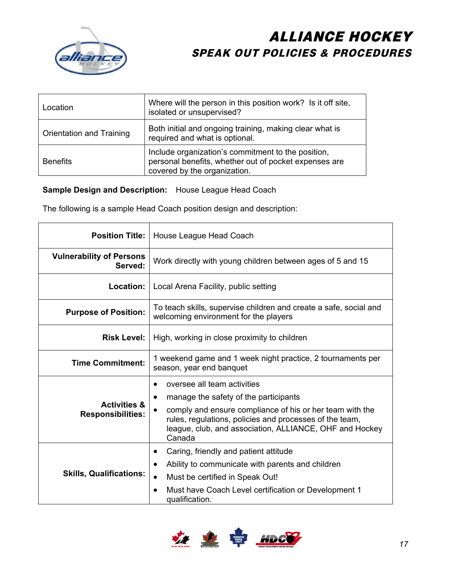

| Location                 | Where will the person in this position work? Is it off site,<br>isolated or unsupervised?                                                   |
|--------------------------|---------------------------------------------------------------------------------------------------------------------------------------------|
| Orientation and Training | Both initial and ongoing training, making clear what is<br>required and what is optional.                                                   |
| <b>Benefits</b>          | Include organization's commitment to the position,<br>personal benefits, whether out of pocket expenses are<br>covered by the organization. |

**Sample Design and Description:** House League Head Coach

The following is a sample Head Coach position design and description:

| <b>Position Title:</b>                              | House League Head Coach                                                                                                                                                                                                                                                       |  |  |
|-----------------------------------------------------|-------------------------------------------------------------------------------------------------------------------------------------------------------------------------------------------------------------------------------------------------------------------------------|--|--|
| <b>Vulnerability of Persons</b><br>Served:          | Work directly with young children between ages of 5 and 15                                                                                                                                                                                                                    |  |  |
| <b>Location:</b>                                    | Local Arena Facility, public setting                                                                                                                                                                                                                                          |  |  |
| <b>Purpose of Position:</b>                         | To teach skills, supervise children and create a safe, social and<br>welcoming environment for the players                                                                                                                                                                    |  |  |
| <b>Risk Level:</b>                                  | High, working in close proximity to children                                                                                                                                                                                                                                  |  |  |
| <b>Time Commitment:</b>                             | 1 weekend game and 1 week night practice, 2 tournaments per<br>season, year end banquet                                                                                                                                                                                       |  |  |
| <b>Activities &amp;</b><br><b>Responsibilities:</b> | oversee all team activities<br>manage the safety of the participants<br>$\bullet$<br>comply and ensure compliance of his or her team with the<br>rules, regulations, policies and processes of the team,<br>league, club, and association, ALLIANCE, OHF and Hockey<br>Canada |  |  |
| <b>Skills, Qualifications:</b>                      | Caring, friendly and patient attitude<br>٠<br>Ability to communicate with parents and children<br>Must be certified in Speak Out!<br>Must have Coach Level certification or Development 1<br>qualification.                                                                   |  |  |

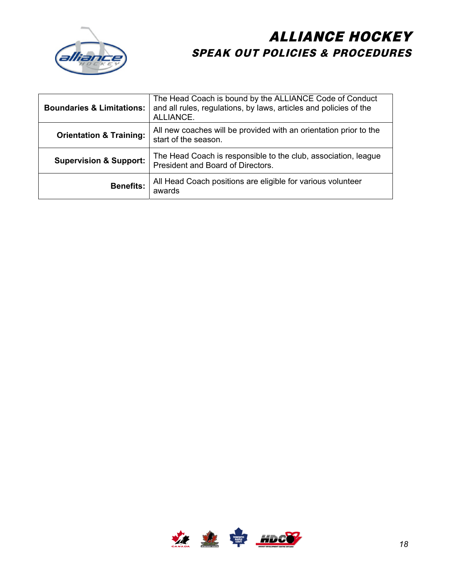

| <b>Boundaries &amp; Limitations:</b> | The Head Coach is bound by the ALLIANCE Code of Conduct<br>and all rules, regulations, by laws, articles and policies of the<br>ALLIANCE. |
|--------------------------------------|-------------------------------------------------------------------------------------------------------------------------------------------|
| <b>Orientation &amp; Training:</b>   | All new coaches will be provided with an orientation prior to the<br>start of the season.                                                 |
| <b>Supervision &amp; Support:</b>    | The Head Coach is responsible to the club, association, league<br>President and Board of Directors.                                       |
| <b>Benefits:</b>                     | All Head Coach positions are eligible for various volunteer<br>awards                                                                     |

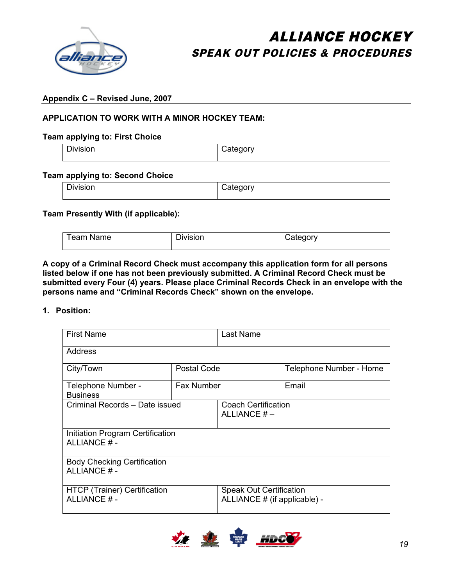

### **Appendix C – Revised June, 2007**

### **APPLICATION TO WORK WITH A MINOR HOCKEY TEAM:**

#### **Team applying to: First Choice**

| Division | Category |
|----------|----------|
|          |          |

### **Team applying to: Second Choice**

| $-$<br>Division | $\sim$ $\sim$ $\sim$<br>atedory<br>. . |
|-----------------|----------------------------------------|
|-----------------|----------------------------------------|

#### **Team Presently With (if applicable):**

| Team Name | –<br>Division | شcate cor∨ |
|-----------|---------------|------------|
|-----------|---------------|------------|

**A copy of a Criminal Record Check must accompany this application form for all persons listed below if one has not been previously submitted. A Criminal Record Check must be submitted every Four (4) years. Please place Criminal Records Check in an envelope with the persons name and "Criminal Records Check" shown on the envelope.** 

### **1. Position:**

| <b>First Name</b>                                  |                   | Last Name                                                      |                         |  |
|----------------------------------------------------|-------------------|----------------------------------------------------------------|-------------------------|--|
| Address                                            |                   |                                                                |                         |  |
| City/Town                                          | Postal Code       |                                                                | Telephone Number - Home |  |
| Telephone Number -<br><b>Business</b>              | <b>Fax Number</b> |                                                                | Email                   |  |
| Criminal Records - Date issued                     |                   | <b>Coach Certification</b><br>ALLIANCE $#$ –                   |                         |  |
| Initiation Program Certification<br>ALLIANCE #-    |                   |                                                                |                         |  |
| <b>Body Checking Certification</b><br>ALLIANCE # - |                   |                                                                |                         |  |
| HTCP (Trainer) Certification<br>ALLIANCE # -       |                   | <b>Speak Out Certification</b><br>ALLIANCE # (if applicable) - |                         |  |

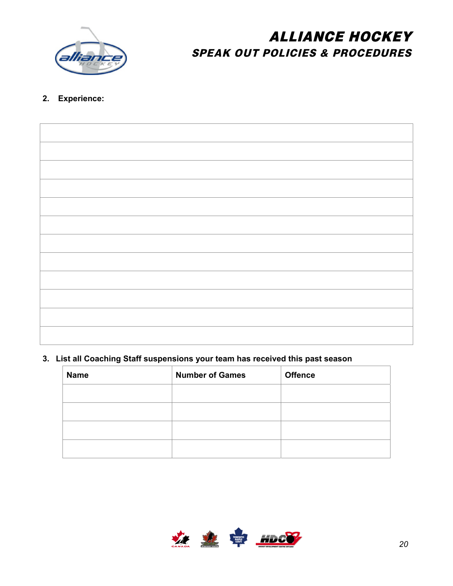

### **2. Experience:**

### **3. List all Coaching Staff suspensions your team has received this past season**

| <b>Name</b> | <b>Number of Games</b> | <b>Offence</b> |
|-------------|------------------------|----------------|
|             |                        |                |
|             |                        |                |
|             |                        |                |
|             |                        |                |

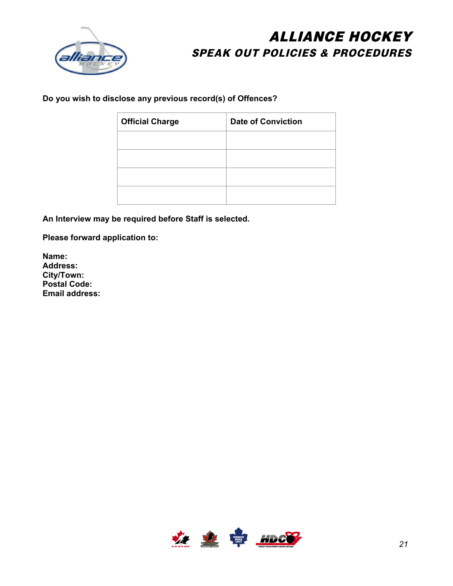

**Do you wish to disclose any previous record(s) of Offences?** 

| <b>Official Charge</b> | <b>Date of Conviction</b> |
|------------------------|---------------------------|
|                        |                           |
|                        |                           |
|                        |                           |
|                        |                           |

**An Interview may be required before Staff is selected.** 

**Please forward application to:** 

**Name: Address: City/Town: Postal Code: Email address:** 

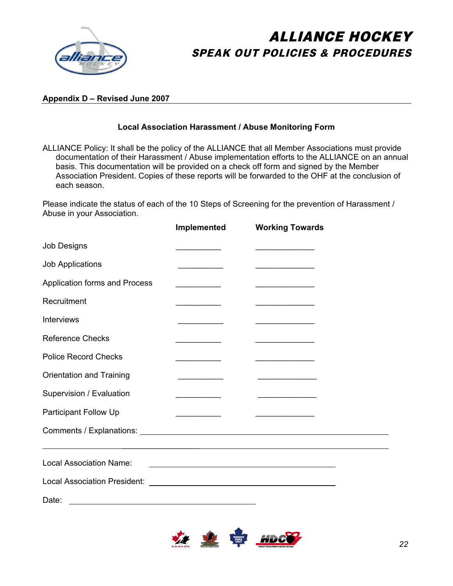

### **Appendix D – Revised June 2007**

### **Local Association Harassment / Abuse Monitoring Form**

ALLIANCE Policy: It shall be the policy of the ALLIANCE that all Member Associations must provide documentation of their Harassment / Abuse implementation efforts to the ALLIANCE on an annual basis. This documentation will be provided on a check off form and signed by the Member Association President. Copies of these reports will be forwarded to the OHF at the conclusion of each season.

Please indicate the status of each of the 10 Steps of Screening for the prevention of Harassment / Abuse in your Association.

|                                | Implemented                                                                                                                                                                                                                          | <b>Working Towards</b>                                                                                                                                                                                                               |
|--------------------------------|--------------------------------------------------------------------------------------------------------------------------------------------------------------------------------------------------------------------------------------|--------------------------------------------------------------------------------------------------------------------------------------------------------------------------------------------------------------------------------------|
| <b>Job Designs</b>             |                                                                                                                                                                                                                                      |                                                                                                                                                                                                                                      |
| <b>Job Applications</b>        |                                                                                                                                                                                                                                      |                                                                                                                                                                                                                                      |
| Application forms and Process  | <u> Albanya di Bandari Bandari Bandari Bandari Bandari Bandari Bandari Bandari Bandari Bandari Bandari Bandari Bandari Bandari Bandari Bandari Bandari Bandari Bandari Bandari Bandari Bandari Bandari Bandari Bandari Bandari B</u> | <u> 1989 - Johann Stein, mars an deus Fran</u>                                                                                                                                                                                       |
| Recruitment                    | <u> 1989 - Johann John Harrison, martin a</u>                                                                                                                                                                                        | the company of the company of the company of                                                                                                                                                                                         |
| Interviews                     | the control of the control of the                                                                                                                                                                                                    | and the company of the company of the                                                                                                                                                                                                |
| <b>Reference Checks</b>        | <u> 2002 - Johann Storm, francuski politik (</u>                                                                                                                                                                                     | <u> 1989 - Johann John Harry Harry Harry Harry Harry Harry Harry Harry Harry Harry Harry Harry Harry Harry Harry Harry Harry Harry Harry Harry Harry Harry Harry Harry Harry Harry Harry Harry Harry Harry Harry Harry Harry Har</u> |
| <b>Police Record Checks</b>    | $\mathcal{L} = \mathcal{L} \times \mathcal{L}$                                                                                                                                                                                       | the control of the control of the control of                                                                                                                                                                                         |
| Orientation and Training       |                                                                                                                                                                                                                                      | <u> 1989 - Johann Barbara, martin a</u>                                                                                                                                                                                              |
| Supervision / Evaluation       |                                                                                                                                                                                                                                      | <u> 1950 - Johann Barn, margaret eta industrial eta industrial eta industrial eta industrial eta industrial eta i</u>                                                                                                                |
| <b>Participant Follow Up</b>   | <u> 1989 - Johann Barn, mars and de Brasilia (b. 19</u>                                                                                                                                                                              | <u> 1980 - Johann John Stone, mars et al.</u>                                                                                                                                                                                        |
| Comments / Explanations: \[\]  |                                                                                                                                                                                                                                      |                                                                                                                                                                                                                                      |
|                                |                                                                                                                                                                                                                                      |                                                                                                                                                                                                                                      |
| <b>Local Association Name:</b> | <u> 1980 - Johann Barbara, martxa amerikan bashkar (</u>                                                                                                                                                                             |                                                                                                                                                                                                                                      |
|                                |                                                                                                                                                                                                                                      |                                                                                                                                                                                                                                      |
| Date:                          |                                                                                                                                                                                                                                      |                                                                                                                                                                                                                                      |

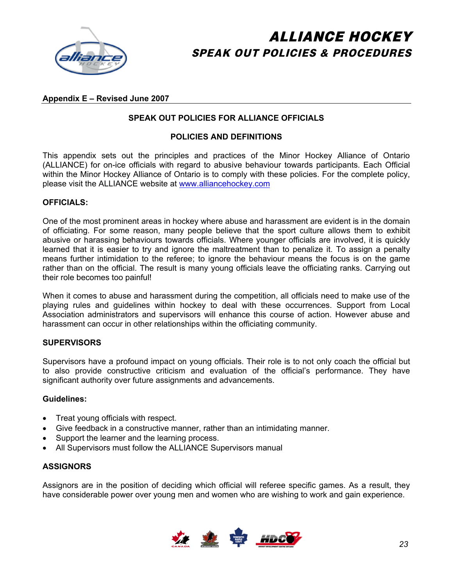

### **Appendix E – Revised June 2007**

### **SPEAK OUT POLICIES FOR ALLIANCE OFFICIALS**

#### **POLICIES AND DEFINITIONS**

This appendix sets out the principles and practices of the Minor Hockey Alliance of Ontario (ALLIANCE) for on-ice officials with regard to abusive behaviour towards participants. Each Official within the Minor Hockey Alliance of Ontario is to comply with these policies. For the complete policy, please visit the ALLIANCE website at [www.alliancehockey.com](http://www.alliancehockey.com/)

#### **OFFICIALS:**

One of the most prominent areas in hockey where abuse and harassment are evident is in the domain of officiating. For some reason, many people believe that the sport culture allows them to exhibit abusive or harassing behaviours towards officials. Where younger officials are involved, it is quickly learned that it is easier to try and ignore the maltreatment than to penalize it. To assign a penalty means further intimidation to the referee; to ignore the behaviour means the focus is on the game rather than on the official. The result is many young officials leave the officiating ranks. Carrying out their role becomes too painful!

When it comes to abuse and harassment during the competition, all officials need to make use of the playing rules and guidelines within hockey to deal with these occurrences. Support from Local Association administrators and supervisors will enhance this course of action. However abuse and harassment can occur in other relationships within the officiating community.

#### **SUPERVISORS**

Supervisors have a profound impact on young officials. Their role is to not only coach the official but to also provide constructive criticism and evaluation of the official's performance. They have significant authority over future assignments and advancements.

#### **Guidelines:**

- **Treat young officials with respect.**
- ! Give feedback in a constructive manner, rather than an intimidating manner.
- Support the learner and the learning process.
- All Supervisors must follow the ALLIANCE Supervisors manual

#### **ASSIGNORS**

Assignors are in the position of deciding which official will referee specific games. As a result, they have considerable power over young men and women who are wishing to work and gain experience.

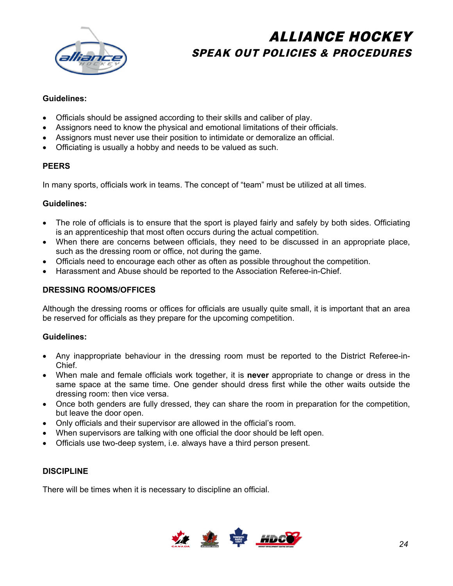

### **Guidelines:**

- ! Officials should be assigned according to their skills and caliber of play.
- ! Assignors need to know the physical and emotional limitations of their officials.
- ! Assignors must never use their position to intimidate or demoralize an official.
- ! Officiating is usually a hobby and needs to be valued as such.

### **PEERS**

In many sports, officials work in teams. The concept of "team" must be utilized at all times.

### **Guidelines:**

- The role of officials is to ensure that the sport is played fairly and safely by both sides. Officiating is an apprenticeship that most often occurs during the actual competition.
- ! When there are concerns between officials, they need to be discussed in an appropriate place, such as the dressing room or office, not during the game.
- Officials need to encourage each other as often as possible throughout the competition.
- ! Harassment and Abuse should be reported to the Association Referee-in-Chief.

### **DRESSING ROOMS/OFFICES**

Although the dressing rooms or offices for officials are usually quite small, it is important that an area be reserved for officials as they prepare for the upcoming competition.

### **Guidelines:**

- ! Any inappropriate behaviour in the dressing room must be reported to the District Referee-in-Chief.
- ! When male and female officials work together, it is **never** appropriate to change or dress in the same space at the same time. One gender should dress first while the other waits outside the dressing room: then vice versa.
- Once both genders are fully dressed, they can share the room in preparation for the competition, but leave the door open.
- Only officials and their supervisor are allowed in the official's room.
- ! When supervisors are talking with one official the door should be left open.
- ! Officials use two-deep system, i.e. always have a third person present.

#### **DISCIPLINE**

There will be times when it is necessary to discipline an official.

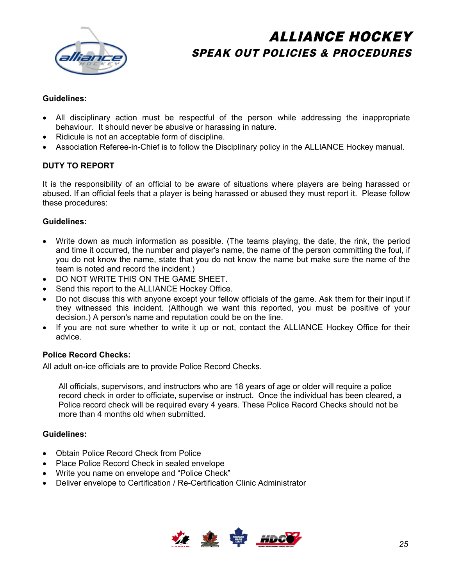

### **Guidelines:**

- All disciplinary action must be respectful of the person while addressing the inappropriate behaviour. It should never be abusive or harassing in nature.
- Ridicule is not an acceptable form of discipline.
- ! Association Referee-in-Chief is to follow the Disciplinary policy in the ALLIANCE Hockey manual.

### **DUTY TO REPORT**

It is the responsibility of an official to be aware of situations where players are being harassed or abused. If an official feels that a player is being harassed or abused they must report it. Please follow these procedures:

#### **Guidelines:**

- ! Write down as much information as possible. (The teams playing, the date, the rink, the period and time it occurred, the number and player's name, the name of the person committing the foul, if you do not know the name, state that you do not know the name but make sure the name of the team is noted and record the incident.)
- . DO NOT WRITE THIS ON THE GAME SHEET.
- Send this report to the ALLIANCE Hockey Office.
- Do not discuss this with anyone except your fellow officials of the game. Ask them for their input if they witnessed this incident. (Although we want this reported, you must be positive of your decision.) A person's name and reputation could be on the line.
- If you are not sure whether to write it up or not, contact the ALLIANCE Hockey Office for their advice.

### **Police Record Checks:**

All adult on-ice officials are to provide Police Record Checks.

All officials, supervisors, and instructors who are 18 years of age or older will require a police record check in order to officiate, supervise or instruct. Once the individual has been cleared, a Police record check will be required every 4 years. These Police Record Checks should not be more than 4 months old when submitted.

#### **Guidelines:**

- . Obtain Police Record Check from Police
- Place Police Record Check in sealed envelope
- Write you name on envelope and "Police Check"
- Deliver envelope to Certification / Re-Certification Clinic Administrator

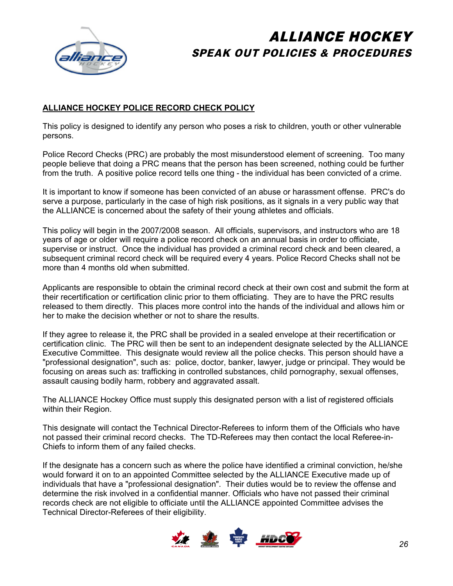

### **ALLIANCE HOCKEY POLICE RECORD CHECK POLICY**

This policy is designed to identify any person who poses a risk to children, youth or other vulnerable persons.

Police Record Checks (PRC) are probably the most misunderstood element of screening. Too many people believe that doing a PRC means that the person has been screened, nothing could be further from the truth. A positive police record tells one thing - the individual has been convicted of a crime.

It is important to know if someone has been convicted of an abuse or harassment offense. PRC's do serve a purpose, particularly in the case of high risk positions, as it signals in a very public way that the ALLIANCE is concerned about the safety of their young athletes and officials.

This policy will begin in the 2007/2008 season. All officials, supervisors, and instructors who are 18 years of age or older will require a police record check on an annual basis in order to officiate, supervise or instruct. Once the individual has provided a criminal record check and been cleared, a subsequent criminal record check will be required every 4 years. Police Record Checks shall not be more than 4 months old when submitted.

Applicants are responsible to obtain the criminal record check at their own cost and submit the form at their recertification or certification clinic prior to them officiating. They are to have the PRC results released to them directly. This places more control into the hands of the individual and allows him or her to make the decision whether or not to share the results.

If they agree to release it, the PRC shall be provided in a sealed envelope at their recertification or certification clinic. The PRC will then be sent to an independent designate selected by the ALLIANCE Executive Committee. This designate would review all the police checks. This person should have a "professional designation", such as: police, doctor, banker, lawyer, judge or principal. They would be focusing on areas such as: trafficking in controlled substances, child pornography, sexual offenses, assault causing bodily harm, robbery and aggravated assalt.

The ALLIANCE Hockey Office must supply this designated person with a list of registered officials within their Region.

This designate will contact the Technical Director-Referees to inform them of the Officials who have not passed their criminal record checks. The TD-Referees may then contact the local Referee-in-Chiefs to inform them of any failed checks.

If the designate has a concern such as where the police have identified a criminal conviction, he/she would forward it on to an appointed Committee selected by the ALLIANCE Executive made up of individuals that have a "professional designation". Their duties would be to review the offense and determine the risk involved in a confidential manner. Officials who have not passed their criminal records check are not eligible to officiate until the ALLIANCE appointed Committee advises the Technical Director-Referees of their eligibility.

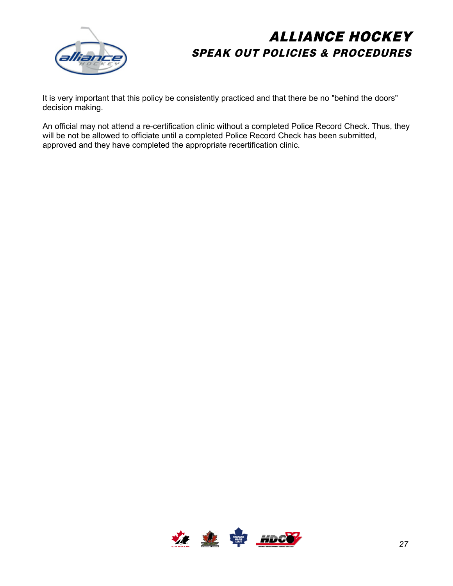

It is very important that this policy be consistently practiced and that there be no "behind the doors" decision making.

An official may not attend a re-certification clinic without a completed Police Record Check. Thus, they will be not be allowed to officiate until a completed Police Record Check has been submitted, approved and they have completed the appropriate recertification clinic.

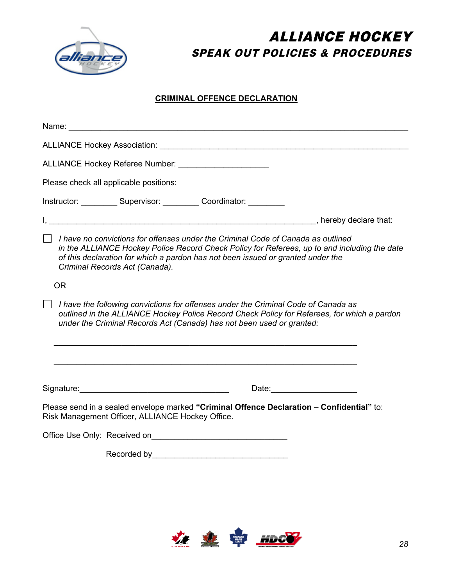

### **CRIMINAL OFFENCE DECLARATION**

| ALLIANCE Hockey Referee Number: ______________________                                                                                                                                                                                                                                                       |
|--------------------------------------------------------------------------------------------------------------------------------------------------------------------------------------------------------------------------------------------------------------------------------------------------------------|
| Please check all applicable positions:                                                                                                                                                                                                                                                                       |
| Instructor: ___________ Supervisor: __________ Coordinator: __________                                                                                                                                                                                                                                       |
|                                                                                                                                                                                                                                                                                                              |
| $\Box$ I have no convictions for offenses under the Criminal Code of Canada as outlined<br>in the ALLIANCE Hockey Police Record Check Policy for Referees, up to and including the date<br>of this declaration for which a pardon has not been issued or granted under the<br>Criminal Records Act (Canada). |
| <b>OR</b>                                                                                                                                                                                                                                                                                                    |
| I have the following convictions for offenses under the Criminal Code of Canada as<br>outlined in the ALLIANCE Hockey Police Record Check Policy for Referees, for which a pardon<br>under the Criminal Records Act (Canada) has not been used or granted:                                                   |
|                                                                                                                                                                                                                                                                                                              |
| Please send in a sealed envelope marked "Criminal Offence Declaration - Confidential" to:<br>Risk Management Officer, ALLIANCE Hockey Office.                                                                                                                                                                |
| Office Use Only: Received on                                                                                                                                                                                                                                                                                 |

Recorded by\_\_\_\_\_\_\_\_\_\_\_\_\_\_\_\_\_\_\_\_\_\_\_\_\_\_\_\_\_\_

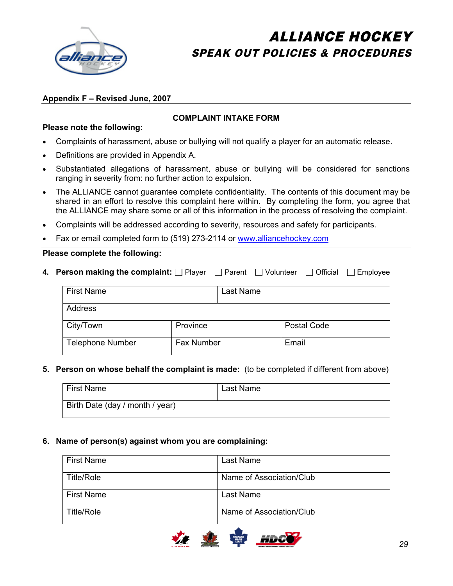

### **Appendix F – Revised June, 2007**

### **COMPLAINT INTAKE FORM**

### **Please note the following:**

- Complaints of harassment, abuse or bullying will not qualify a player for an automatic release.
- Definitions are provided in Appendix A.
- ! Substantiated allegations of harassment, abuse or bullying will be considered for sanctions ranging in severity from: no further action to expulsion.
- The ALLIANCE cannot guarantee complete confidentiality. The contents of this document may be shared in an effort to resolve this complaint here within. By completing the form, you agree that the ALLIANCE may share some or all of this information in the process of resolving the complaint.
- ! Complaints will be addressed according to severity, resources and safety for participants.
- ! Fax or email completed form to (519) 273-2114 or [www.alliancehockey.com](http://www.alliancehockey.com/)

### **Please complete the following:**

**4. Person making the complaint:** Player Parent Volunteer **Proposite Proposite Parameter** Constants Constanting Temployee

| <b>First Name</b>       |            | Last Name |             |
|-------------------------|------------|-----------|-------------|
| Address                 |            |           |             |
| City/Town               | Province   |           | Postal Code |
| <b>Telephone Number</b> | Fax Number |           | Email       |

#### **5. Person on whose behalf the complaint is made:** (to be completed if different from above)

| <b>First Name</b>               | Last Name |
|---------------------------------|-----------|
| Birth Date (day / month / year) |           |

#### **6. Name of person(s) against whom you are complaining:**

| <b>First Name</b> | Last Name                |
|-------------------|--------------------------|
| Title/Role        | Name of Association/Club |
| <b>First Name</b> | Last Name                |
| Title/Role        | Name of Association/Club |

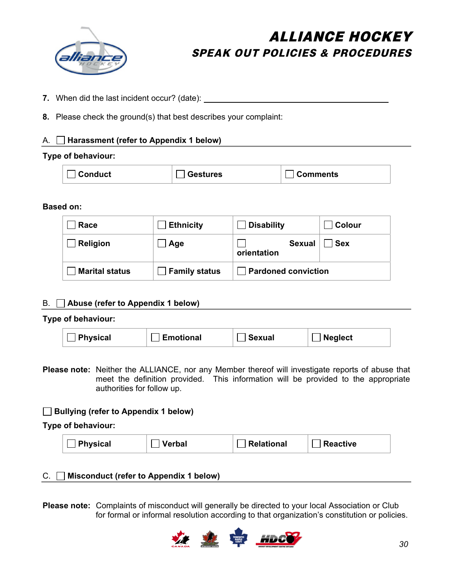

- **7.** When did the last incident occur? (date):
- **8.** Please check the ground(s) that best describes your complaint:

### A. **Harassment (refer to Appendix 1 below)**

### **Type of behaviour:**

| $\Box$ Conduct | <b>Sestures</b> | $\Box$ Comments |
|----------------|-----------------|-----------------|
|----------------|-----------------|-----------------|

### **Based on:**

| Race                  | <b>Ethnicity</b>     | <b>Disability</b>            | Colour     |
|-----------------------|----------------------|------------------------------|------------|
| Religion              | Age                  | <b>Sexual</b><br>orientation | <b>Sex</b> |
| <b>Marital status</b> | <b>Family status</b> | <b>Pardoned conviction</b>   |            |

### B. **Abuse (refer to Appendix 1 below)**

### **Type of behaviour:**

| <b>Physical</b> | <b>Emotional</b> | Sexual | $^\top$ Neglect |  |
|-----------------|------------------|--------|-----------------|--|
|-----------------|------------------|--------|-----------------|--|

**Please note:** Neither the ALLIANCE, nor any Member thereof will investigate reports of abuse that meet the definition provided. This information will be provided to the appropriate authorities for follow up.

### **Bullying (refer to Appendix 1 below)**

**Type of behaviour:** 

| <b>Relational</b><br><b>Physical</b><br><b>Reactive</b><br>Verbal |
|-------------------------------------------------------------------|
|-------------------------------------------------------------------|

### C. **Misconduct (refer to Appendix 1 below)**

**Please note:** Complaints of misconduct will generally be directed to your local Association or Club for formal or informal resolution according to that organization's constitution or policies.

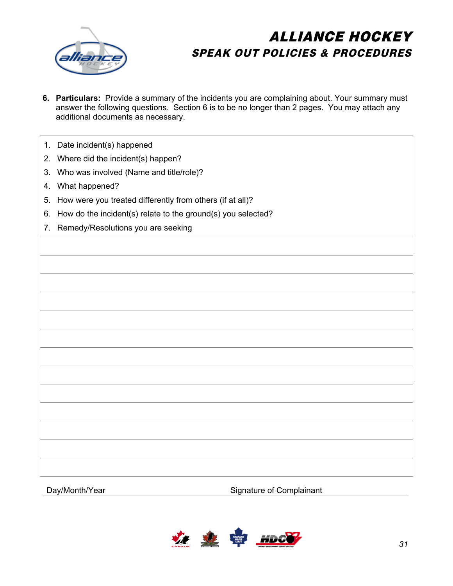

- **6. Particulars:** Provide a summary of the incidents you are complaining about. Your summary must answer the following questions. Section 6 is to be no longer than 2 pages. You may attach any additional documents as necessary.
- 1. Date incident(s) happened
- 2. Where did the incident(s) happen?
- 3. Who was involved (Name and title/role)?
- 4. What happened?
- 5. How were you treated differently from others (if at all)?
- 6. How do the incident(s) relate to the ground(s) you selected?
- 7. Remedy/Resolutions you are seeking

Day/Month/Year Signature of Complainant

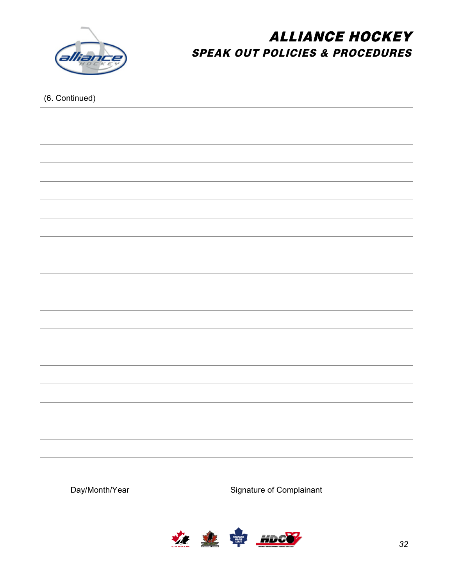

### (6. Continued)

Day/Month/Year Signature of Complainant

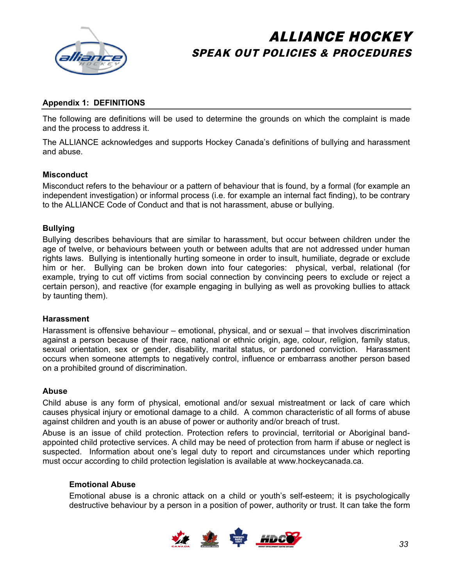

### **Appendix 1: DEFINITIONS**

The following are definitions will be used to determine the grounds on which the complaint is made and the process to address it.

The ALLIANCE acknowledges and supports Hockey Canada's definitions of bullying and harassment and abuse.

#### **Misconduct**

Misconduct refers to the behaviour or a pattern of behaviour that is found, by a formal (for example an independent investigation) or informal process (i.e. for example an internal fact finding), to be contrary to the ALLIANCE Code of Conduct and that is not harassment, abuse or bullying.

### **Bullying**

Bullying describes behaviours that are similar to harassment, but occur between children under the age of twelve, or behaviours between youth or between adults that are not addressed under human rights laws. Bullying is intentionally hurting someone in order to insult, humiliate, degrade or exclude him or her. Bullying can be broken down into four categories: physical, verbal, relational (for example, trying to cut off victims from social connection by convincing peers to exclude or reject a certain person), and reactive (for example engaging in bullying as well as provoking bullies to attack by taunting them).

#### **Harassment**

Harassment is offensive behaviour – emotional, physical, and or sexual – that involves discrimination against a person because of their race, national or ethnic origin, age, colour, religion, family status, sexual orientation, sex or gender, disability, marital status, or pardoned conviction. Harassment occurs when someone attempts to negatively control, influence or embarrass another person based on a prohibited ground of discrimination.

### **Abuse**

Child abuse is any form of physical, emotional and/or sexual mistreatment or lack of care which causes physical injury or emotional damage to a child. A common characteristic of all forms of abuse against children and youth is an abuse of power or authority and/or breach of trust.

Abuse is an issue of child protection. Protection refers to provincial, territorial or Aboriginal bandappointed child protective services. A child may be need of protection from harm if abuse or neglect is suspected. Information about one's legal duty to report and circumstances under which reporting must occur according to child protection legislation is available at www.hockeycanada.ca.

#### **Emotional Abuse**

Emotional abuse is a chronic attack on a child or youth's self-esteem; it is psychologically destructive behaviour by a person in a position of power, authority or trust. It can take the form

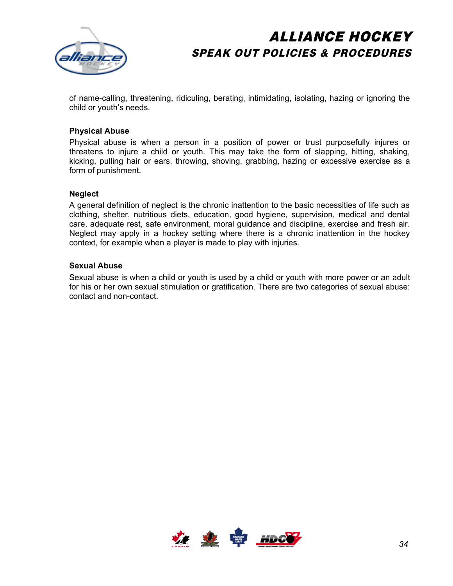

of name-calling, threatening, ridiculing, berating, intimidating, isolating, hazing or ignoring the child or youth's needs.

### **Physical Abuse**

Physical abuse is when a person in a position of power or trust purposefully injures or threatens to injure a child or youth. This may take the form of slapping, hitting, shaking, kicking, pulling hair or ears, throwing, shoving, grabbing, hazing or excessive exercise as a form of punishment.

#### **Neglect**

A general definition of neglect is the chronic inattention to the basic necessities of life such as clothing, shelter, nutritious diets, education, good hygiene, supervision, medical and dental care, adequate rest, safe environment, moral guidance and discipline, exercise and fresh air. Neglect may apply in a hockey setting where there is a chronic inattention in the hockey context, for example when a player is made to play with injuries.

#### **Sexual Abuse**

Sexual abuse is when a child or youth is used by a child or youth with more power or an adult for his or her own sexual stimulation or gratification. There are two categories of sexual abuse: contact and non-contact.

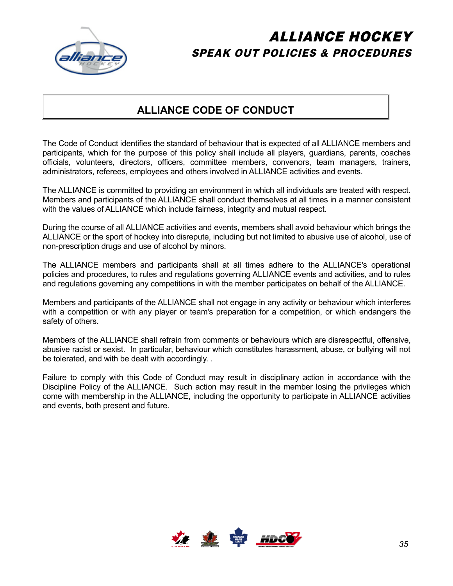

### **ALLIANCE CODE OF CONDUCT**

The Code of Conduct identifies the standard of behaviour that is expected of all ALLIANCE members and participants, which for the purpose of this policy shall include all players, guardians, parents, coaches officials, volunteers, directors, officers, committee members, convenors, team managers, trainers, administrators, referees, employees and others involved in ALLIANCE activities and events.

The ALLIANCE is committed to providing an environment in which all individuals are treated with respect. Members and participants of the ALLIANCE shall conduct themselves at all times in a manner consistent with the values of ALLIANCE which include fairness, integrity and mutual respect.

During the course of all ALLIANCE activities and events, members shall avoid behaviour which brings the ALLIANCE or the sport of hockey into disrepute, including but not limited to abusive use of alcohol, use of non-prescription drugs and use of alcohol by minors.

The ALLIANCE members and participants shall at all times adhere to the ALLIANCE's operational policies and procedures, to rules and regulations governing ALLIANCE events and activities, and to rules and regulations governing any competitions in with the member participates on behalf of the ALLIANCE.

Members and participants of the ALLIANCE shall not engage in any activity or behaviour which interferes with a competition or with any player or team's preparation for a competition, or which endangers the safety of others.

Members of the ALLIANCE shall refrain from comments or behaviours which are disrespectful, offensive, abusive racist or sexist. In particular, behaviour which constitutes harassment, abuse, or bullying will not be tolerated, and with be dealt with accordingly. .

Failure to comply with this Code of Conduct may result in disciplinary action in accordance with the Discipline Policy of the ALLIANCE. Such action may result in the member losing the privileges which come with membership in the ALLIANCE, including the opportunity to participate in ALLIANCE activities and events, both present and future.

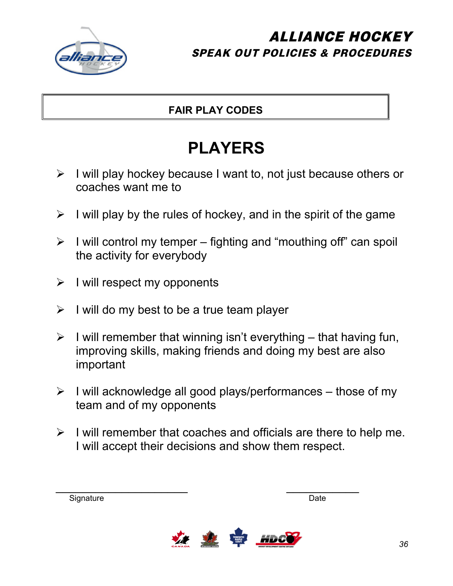

### **FAIR PLAY CODES**

# **PLAYERS**

- $\triangleright$  I will play hockey because I want to, not just because others or coaches want me to
- $\triangleright$  I will play by the rules of hockey, and in the spirit of the game
- $\triangleright$  I will control my temper fighting and "mouthing off" can spoil the activity for everybody
- $\triangleright$  I will respect my opponents
- $\triangleright$  I will do my best to be a true team player
- $\triangleright$  I will remember that winning isn't everything that having fun, improving skills, making friends and doing my best are also important
- $\triangleright$  I will acknowledge all good plays/performances those of my team and of my opponents
- $\triangleright$  I will remember that coaches and officials are there to help me. I will accept their decisions and show them respect.

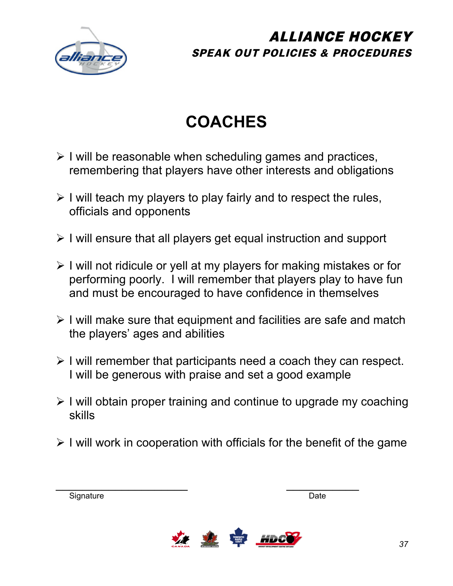

# **COACHES**

- $\triangleright$  I will be reasonable when scheduling games and practices, remembering that players have other interests and obligations
- $\triangleright$  I will teach my players to play fairly and to respect the rules, officials and opponents
- $\triangleright$  I will ensure that all players get equal instruction and support
- $\triangleright$  I will not ridicule or yell at my players for making mistakes or for performing poorly. I will remember that players play to have fun and must be encouraged to have confidence in themselves
- $\triangleright$  I will make sure that equipment and facilities are safe and match the players' ages and abilities
- $\triangleright$  I will remember that participants need a coach they can respect. I will be generous with praise and set a good example
- $\triangleright$  I will obtain proper training and continue to upgrade my coaching skills
- $\triangleright$  I will work in cooperation with officials for the benefit of the game

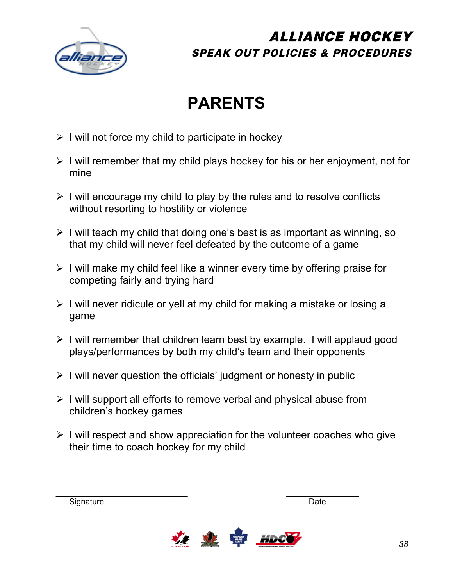

# **PARENTS**

- $\triangleright$  I will not force my child to participate in hockey
- $\triangleright$  I will remember that my child plays hockey for his or her enjoyment, not for mine
- $\triangleright$  I will encourage my child to play by the rules and to resolve conflicts without resorting to hostility or violence
- $\triangleright$  I will teach my child that doing one's best is as important as winning, so that my child will never feel defeated by the outcome of a game
- $\triangleright$  I will make my child feel like a winner every time by offering praise for competing fairly and trying hard
- $\triangleright$  I will never ridicule or yell at my child for making a mistake or losing a game
- $\triangleright$  I will remember that children learn best by example. I will applaud good plays/performances by both my child's team and their opponents
- $\triangleright$  I will never question the officials' judgment or honesty in public
- $\triangleright$  I will support all efforts to remove verbal and physical abuse from children's hockey games
- $\triangleright$  I will respect and show appreciation for the volunteer coaches who give their time to coach hockey for my child

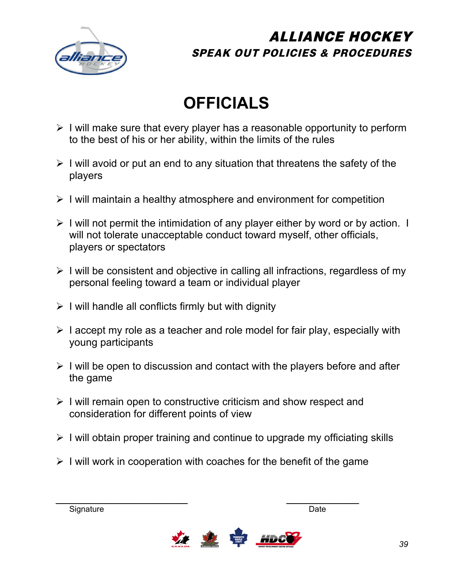

# **OFFICIALS**

- $\triangleright$  I will make sure that every player has a reasonable opportunity to perform to the best of his or her ability, within the limits of the rules
- $\triangleright$  I will avoid or put an end to any situation that threatens the safety of the players
- $\triangleright$  I will maintain a healthy atmosphere and environment for competition
- $\triangleright$  I will not permit the intimidation of any player either by word or by action. I will not tolerate unacceptable conduct toward myself, other officials, players or spectators
- $\triangleright$  I will be consistent and objective in calling all infractions, regardless of my personal feeling toward a team or individual player
- $\triangleright$  I will handle all conflicts firmly but with dignity
- $\triangleright$  I accept my role as a teacher and role model for fair play, especially with young participants
- $\triangleright$  I will be open to discussion and contact with the players before and after the game
- $\triangleright$  I will remain open to constructive criticism and show respect and consideration for different points of view
- $\triangleright$  I will obtain proper training and continue to upgrade my officiating skills
- $\triangleright$  I will work in cooperation with coaches for the benefit of the game

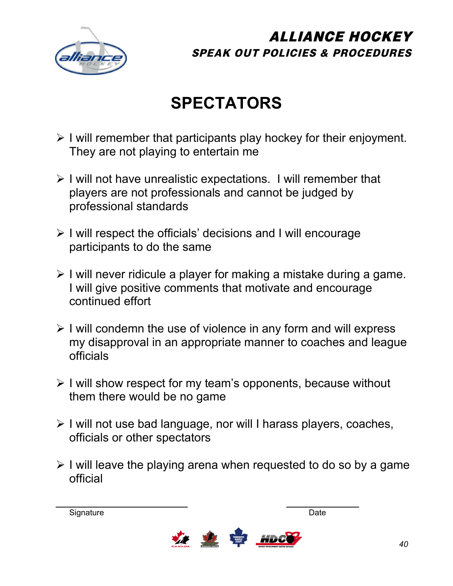

# **SPECTATORS**

- $\triangleright$  I will remember that participants play hockey for their enjoyment. They are not playing to entertain me
- $\triangleright$  I will not have unrealistic expectations. I will remember that players are not professionals and cannot be judged by professional standards
- $\triangleright$  I will respect the officials' decisions and I will encourage participants to do the same
- $\triangleright$  I will never ridicule a player for making a mistake during a game. I will give positive comments that motivate and encourage continued effort
- $\triangleright$  I will condemn the use of violence in any form and will express my disapproval in an appropriate manner to coaches and league officials
- $\triangleright$  I will show respect for my team's opponents, because without them there would be no game
- $\triangleright$  I will not use bad language, nor will I harass players, coaches, officials or other spectators
- $\triangleright$  I will leave the playing arena when requested to do so by a game official